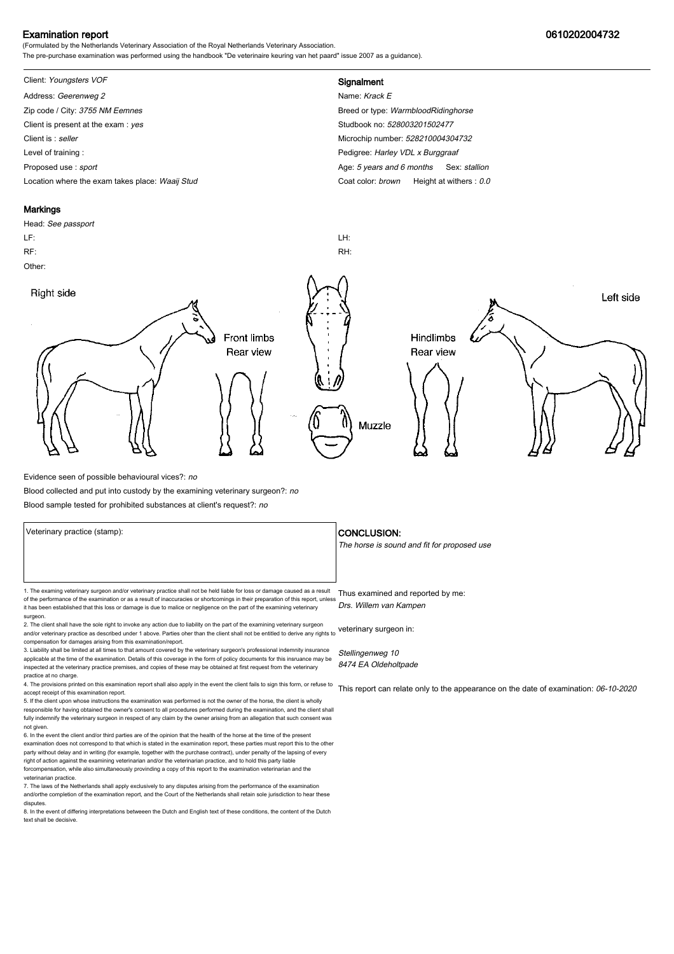## Examination report 0610202004732

(Formulated by the Netherlands Veterinary Association of the Royal Netherlands Veterinary Association. The pre-purchase examination was performed using the handbook "De veterinaire keuring van het paard" issue 2007 as a guidance).

# Client: Youngsters VOF **Signalment**

Address: Geerenweg 2 Name: Krack E Zip code / City: 3755 NM Eemnes Breed or type: WarmbloodRidinghorse Client is present at the exam : yes Studbook no: 528003201502477 Client is : seller Microchip number: 528210004304732 Level of training : **Pedigree:** Harley VDL x Burggraaf Proposed use : sport **Age: 5 years and 6 months** Sex: stallion Location where the exam takes place: Waaij Stud Coat Color: brown Height at withers : 0.0

### **Markings**

Head: See passport LF: LH: RF: RH: Other: Right side Left side **Front limbs** Hindlimbs Rear view Rear view Muzzle

Evidence seen of possible behavioural vices?: no

Blood collected and put into custody by the examining veterinary surgeon?: no

Blood sample tested for prohibited substances at client's request?: no

Veterinary practice (stamp):  $\overline{\phantom{a}}$  CONCLUSION: The horse is sound and fit for proposed use 1. The examing veterinary surgeon and/or veterinary practice shall not be held liable for loss or damage caused as a result Thus examined and reported by me: of the performance of the examination or as a result of inaccuracies or shortcomings in their preparation of this report, unless it has been established that this loss or damage is due to malice or negligence on the part of the examining veterinary surgeon. 2. The client shall have the sole right to invoke any action due to liability on the part of the examining veterinary surgeon and/or veterinary practice as described under 1 above. Parties oher than the client shall not be entitled to derive any rights to veterinary surgeon in: Drs. Willem van Kampen

compensation for damages arising from this examination/report. 3. Liability shall be limited at all times to that amount covered by the veterinary surgeon's professional indemnity insurance

applicable at the time of the examination. Details of this coverage in the form of policy documents for this insruance may be inspected at the veterinary practice premises, and copies of these may be obtained at first request from the veterinary practice at no charge.

4. The provisions printed on this examination report shall also apply in the event the client fails to sign this form, or refuse to accept receipt of this examination report. 5. If the client upon whose instructions the examination was performed is not the owner of the horse, the client is wholly

responsible for having obtained the owner's consent to all procedures performed during the examination, and the client shall fully indemnify the veterinary surgeon in respect of any claim by the owner arising from an allegation that such consent was not given.

6. In the event the client and/or third parties are of the opinion that the health of the horse at the time of the present examination does not correspond to that which is stated in the examination report, these parties must report this to the other party without delay and in writing (for example, together with the purchase contract), under penalty of the lapsing of every<br>right of action against the examining veterinarian and/or the veterinarian practice, and to hold forcompensation, while also simultaneously provinding a copy of this report to the examination veterinarian and th veterinarian practice.

7. The laws of the Netherlands shall apply exclusively to any disputes arising from the performance of the examination and/orthe completion of the examination report, and the Court of the Netherlands shall retain sole jurisdiction to hear these disputes.

8. In the event of differing interpretations betweeen the Dutch and English text of these conditions, the content of the Dutch text shall be decisive.

Stellingenweg 10 8474 EA Oldeholtpade

This report can relate only to the appearance on the date of examination: 06-10-2020